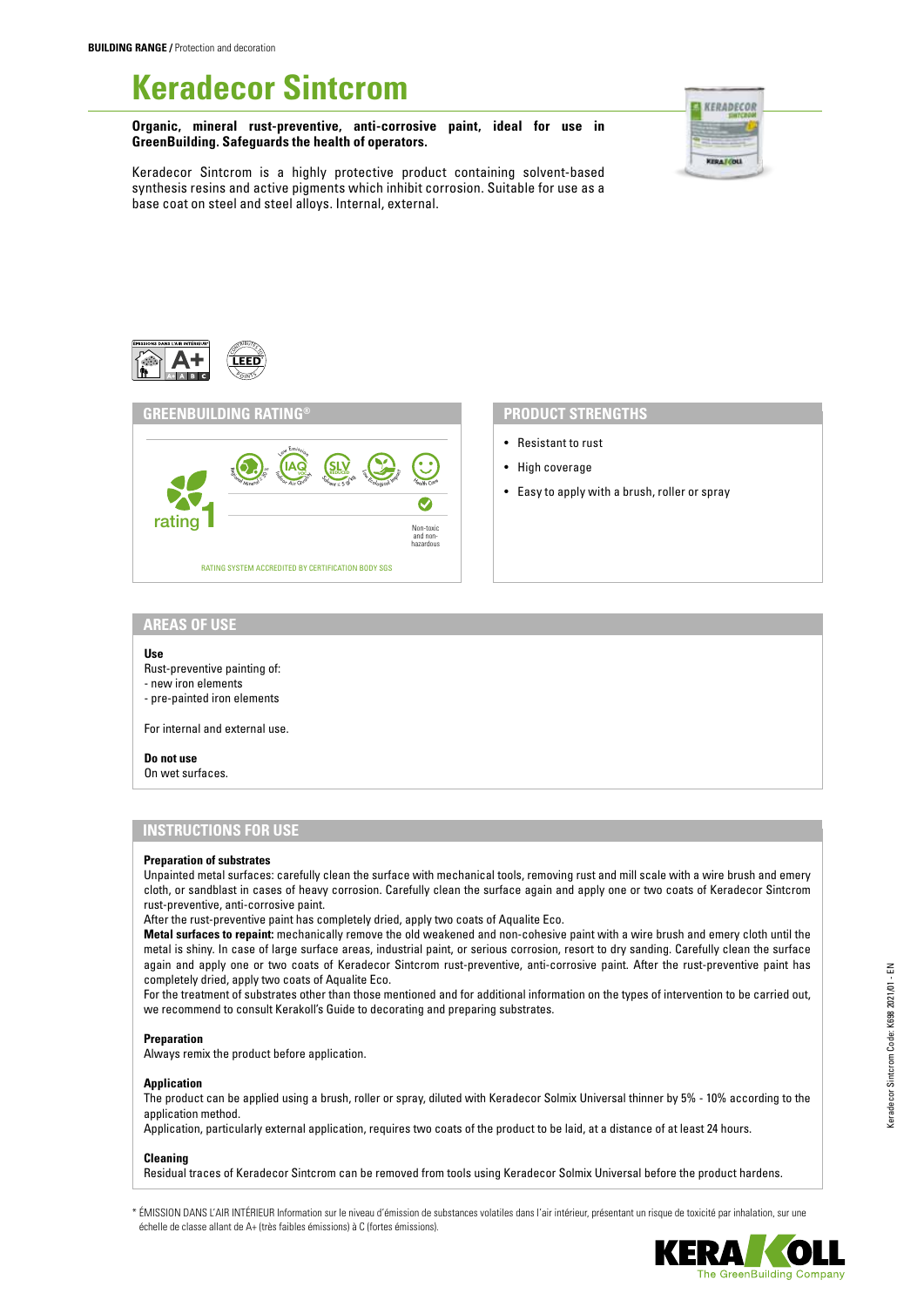# **Keradecor Sintcrom**

**Organic, mineral rust-preventive, anti-corrosive paint, ideal for use in GreenBuilding. Safeguards the health of operators.**



Keradecor Sintcrom is a highly protective product containing solvent-based synthesis resins and active pigments which inhibit corrosion. Suitable for use as a base coat on steel and steel alloys. Internal, external.





- Resistant to rust
- High coverage
- Easy to apply with a brush, roller or spray

### **AREAS OF USE**

#### **Use**

- Rust-preventive painting of:
- new iron elements
- pre-painted iron elements

For internal and external use.

### **Do not use**

On wet surfaces.

# **INSTRUCTIONS FOR USE**

### **Preparation of substrates**

Unpainted metal surfaces: carefully clean the surface with mechanical tools, removing rust and mill scale with a wire brush and emery cloth, or sandblast in cases of heavy corrosion. Carefully clean the surface again and apply one or two coats of Keradecor Sintcrom rust-preventive, anti-corrosive paint.

After the rust-preventive paint has completely dried, apply two coats of Aqualite Eco.

**Metal surfaces to repaint:** mechanically remove the old weakened and non-cohesive paint with a wire brush and emery cloth until the metal is shiny. In case of large surface areas, industrial paint, or serious corrosion, resort to dry sanding. Carefully clean the surface again and apply one or two coats of Keradecor Sintcrom rust-preventive, anti-corrosive paint. After the rust-preventive paint has completely dried, apply two coats of Aqualite Eco.

For the treatment of substrates other than those mentioned and for additional information on the types of intervention to be carried out, we recommend to consult Kerakoll's Guide to decorating and preparing substrates.

#### **Preparation**

Always remix the product before application.

#### **Application**

The product can be applied using a brush, roller or spray, diluted with Keradecor Solmix Universal thinner by 5% - 10% according to the application method.

Application, particularly external application, requires two coats of the product to be laid, at a distance of at least 24 hours.

#### **Cleaning**

Residual traces of Keradecor Sintcrom can be removed from tools using Keradecor Solmix Universal before the product hardens.

\* ÉMISSION DANS L'AIR INTÉRIEUR Information sur le niveau d'émission de substances volatiles dans l'air intérieur, présentant un risque de toxicité par inhalation, sur une échelle de classe allant de A+ (très faibles émissions) à C (fortes émissions).